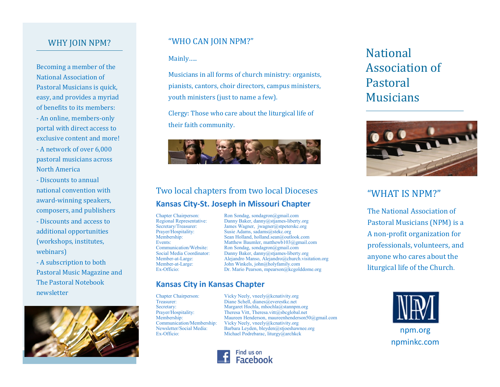# WHY JOIN NPM?

Becoming a member of the National Association of Pastoral Musicians is quick, easy, and provides a myriad of benefits to its members: - An online, members-only portal with direct access to exclusive content and more! - A network of over 6,000 pastoral musicians across

- Discounts to annual national convention with award-winning speakers, composers, and publishers

North America

- Discounts and access to additional opportunities (workshops, institutes, webinars)

- A subscription to both Pastoral Music Magazine and The Pastoral Notebook newsletter



# "WHO CAN JOIN NPM?"

Mainly…..

Musicians in all forms of church ministry: organists, pianists, cantors, choir directors, campus ministers, youth ministers (just to name a few).

Clergy: Those who care about the liturgical life of their faith community.



# Two local chapters from two local Dioceses **Kansas City-St. Joseph in Missouri Chapter**

Chapter Chairperson: Ron Sondag, [sondagron@gmail.com](mailto:sondagron@gmail.com)<br>
Regional Representative: Danny Baker, danny@stjames-liberty Regional Representative: Danny Baker, [danny@stjames](mailto:danny@stjames-liberty.org)-liberty.org<br>Secretary/Treasurer: James Wagner, jwagner@stpeterskc.org Secretary/Treasurer: James Wagner, [jwagner@stpeterskc.org](mailto:jwagner@stpeterskc.org)<br>Prayer/Hospitality: Susie Adams, sadams@stekc.org Susie Adams, sadams@stekc.org Membership: Sean Holland, [holland.sean@outlook.com](mailto:holland.sean@outlook.com)<br>Events: Matthew Baumler. matthewb103@gmail.c Events: Matthew Baumler, matthewb103@gmail.com<br>
Communication/Website: Ron Sondag, sondagron@gmail.com Communication/Website: Ron Sondag, [sondagron@gmail.com](mailto:sondagron@gmail.com)<br>Social Media Coordinator: Danny Baker, danny@stjames-liberty Social Media Coordinator: Danny Baker, [danny@stjames](mailto:danny@stjames-liberty.org)-liberty.org<br>Member-at-Large: Alejandro Manso, Alejandro@church.visii Member-at-Large: Alejandro Manso, Alejandro@church.visitation.org John Winkels, john@holyfamily.com Ex-Officio: Dr. Mario Pearson, mpearson@kcgolddome.org

# **Kansas City in Kansas Chapter**

Chapter Chairperson: Vicky Neely, vneely@kcnativity.org Treasurer: Diane Schell, dianes@everestkc.net<br>Secretary: Margaret Hochla. mhochla@stannpn Secretary: Margaret Hochla, mhochla@stannpm.org<br>Prayer/Hospitality: Theresa Vitt, Theresa.vitt@sbcglobal.net Prayer/Hospitality: Theresa Vitt, Theresa.vitt@sbcglobal.net<br>Membership: Maureen Henderson, maureenhenderson5 Membership: Maureen Henderson, [maureenhenderson50@gmail.com](mailto:maureenhenderson50@gmail.com)<br>
Communication/Membership: Vicky Neely, vneely@kcnativity.org Communication/Membership: Vicky Neely, vneely@kcnativity.org Barbara Leyden, bleyden@stjoeshawnee.org Newsletter/Social Media: Barbara Leyden, bleyden@stjoeshawnee.org<br>Ex-Officio: Michael Podrebarac, liturgy@archkck npm.org npm.org



# National Association of Pastoral Musicians



# "WHAT IS NPM?"

The National Association of Pastoral Musicians (NPM) is a A non-profit organization for professionals, volunteers, and anyone who cares about the liturgical life of the Church.



npminkc.com